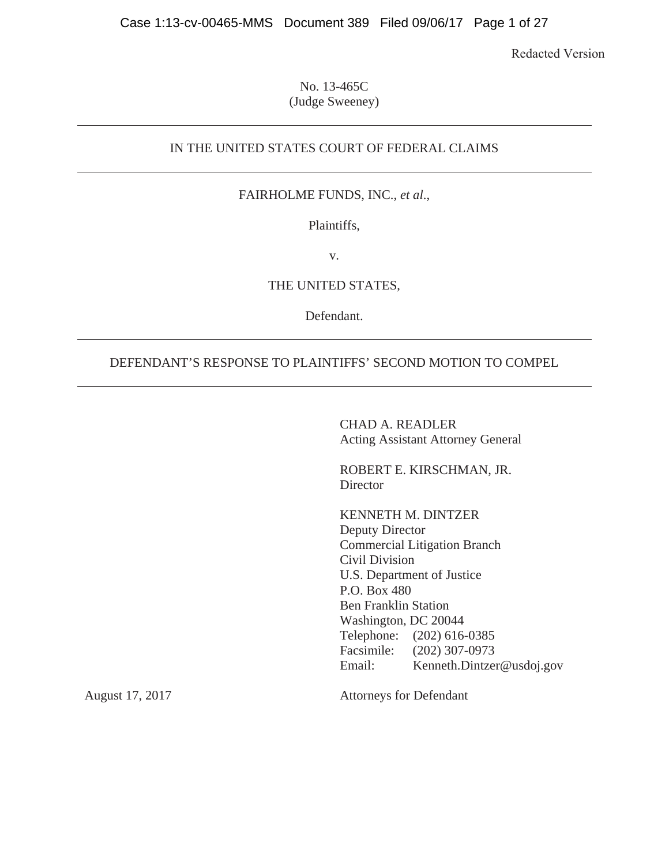Redacted Version

No. 13-465C (Judge Sweeney)

# IN THE UNITED STATES COURT OF FEDERAL CLAIMS

## FAIRHOLME FUNDS, INC., *et al*.,

### Plaintiffs,

v.

## THE UNITED STATES,

Defendant.

# DEFENDANT'S RESPONSE TO PLAINTIFFS' SECOND MOTION TO COMPEL

CHAD A. READLER Acting Assistant Attorney General

ROBERT E. KIRSCHMAN, JR. **Director** 

KENNETH M. DINTZER Deputy Director Commercial Litigation Branch Civil Division U.S. Department of Justice P.O. Box 480 Ben Franklin Station Washington, DC 20044 Telephone: (202) 616-0385 Facsimile: (202) 307-0973 Email: Kenneth.Dintzer@usdoj.gov

August 17, 2017

Attorneys for Defendant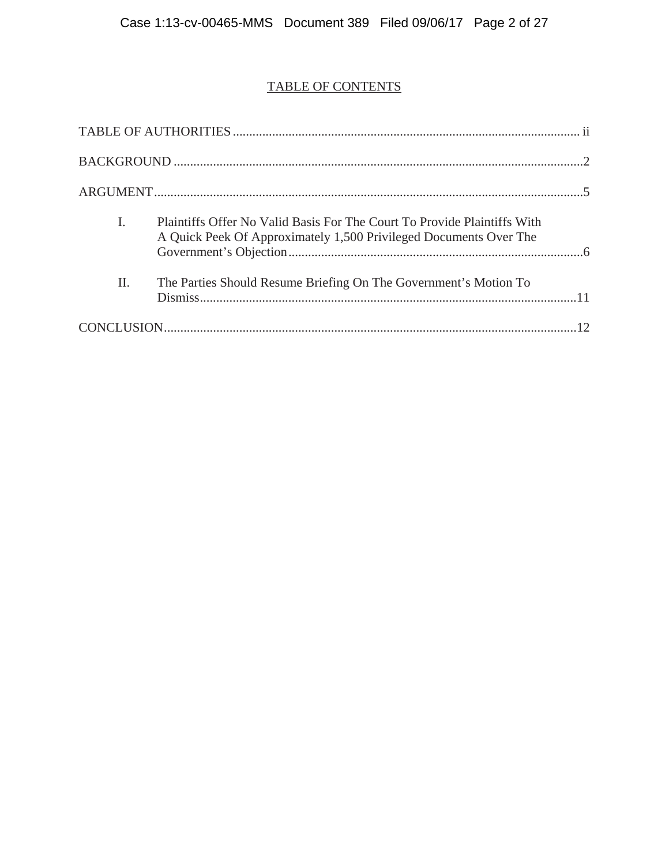# TABLE OF CONTENTS

| I.  | Plaintiffs Offer No Valid Basis For The Court To Provide Plaintiffs With<br>A Quick Peek Of Approximately 1,500 Privileged Documents Over The |  |
|-----|-----------------------------------------------------------------------------------------------------------------------------------------------|--|
| II. | The Parties Should Resume Briefing On The Government's Motion To                                                                              |  |
|     |                                                                                                                                               |  |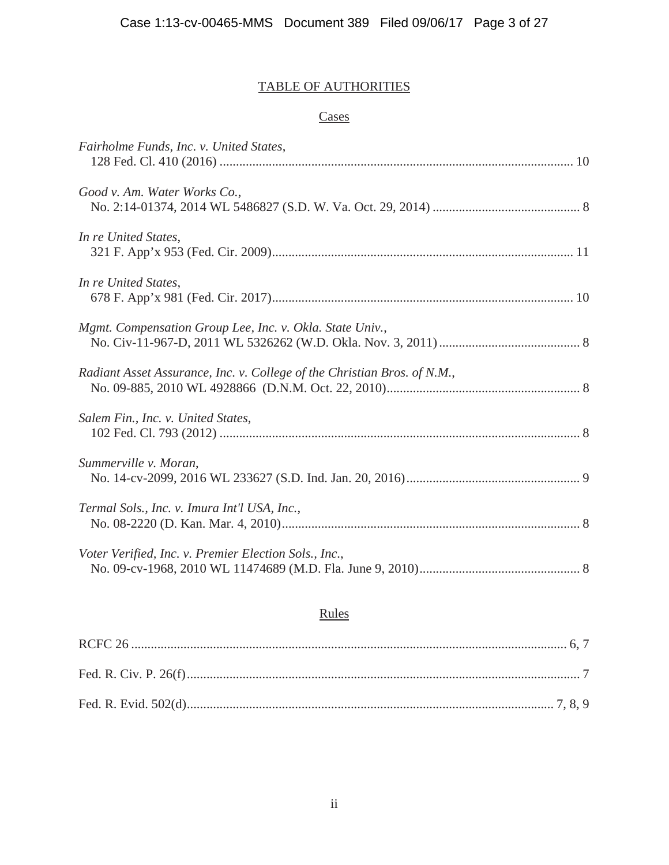# TABLE OF AUTHORITIES

# **Cases**

| Fairholme Funds, Inc. v. United States,                                  |
|--------------------------------------------------------------------------|
| Good v. Am. Water Works Co.,                                             |
| In re United States,                                                     |
| In re United States,                                                     |
| Mgmt. Compensation Group Lee, Inc. v. Okla. State Univ.,                 |
| Radiant Asset Assurance, Inc. v. College of the Christian Bros. of N.M., |
| Salem Fin., Inc. v. United States,                                       |
| Summerville v. Moran,                                                    |
| Termal Sols., Inc. v. Imura Int'l USA, Inc.,                             |
| Voter Verified, Inc. v. Premier Election Sols., Inc.,                    |
|                                                                          |

# Rules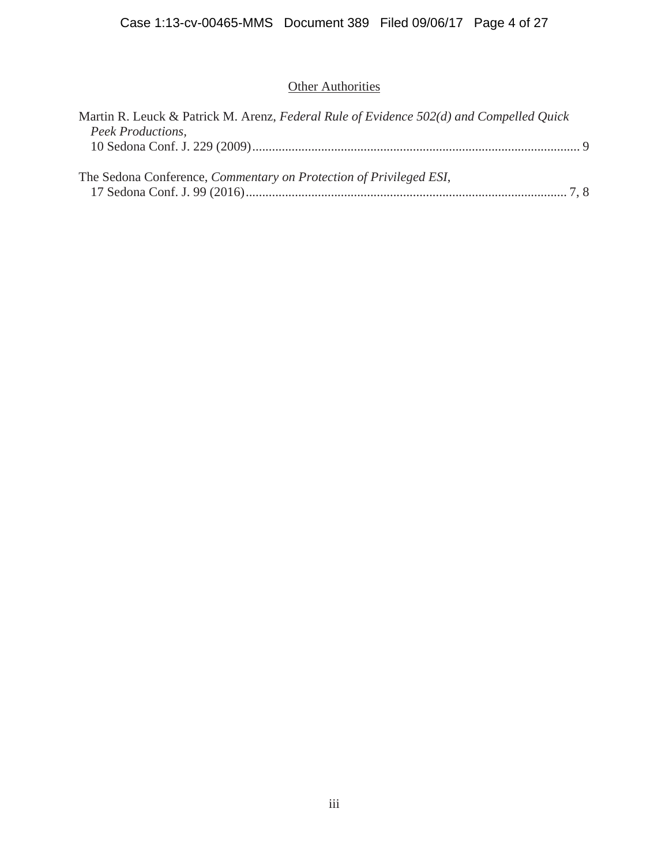# **Other Authorities**

| Martin R. Leuck & Patrick M. Arenz, Federal Rule of Evidence 502(d) and Compelled Quick |  |
|-----------------------------------------------------------------------------------------|--|
| Peek Productions,                                                                       |  |
|                                                                                         |  |
|                                                                                         |  |
| The Sedona Conference, <i>Commentary on Protection of Privileged ESI</i> ,              |  |
|                                                                                         |  |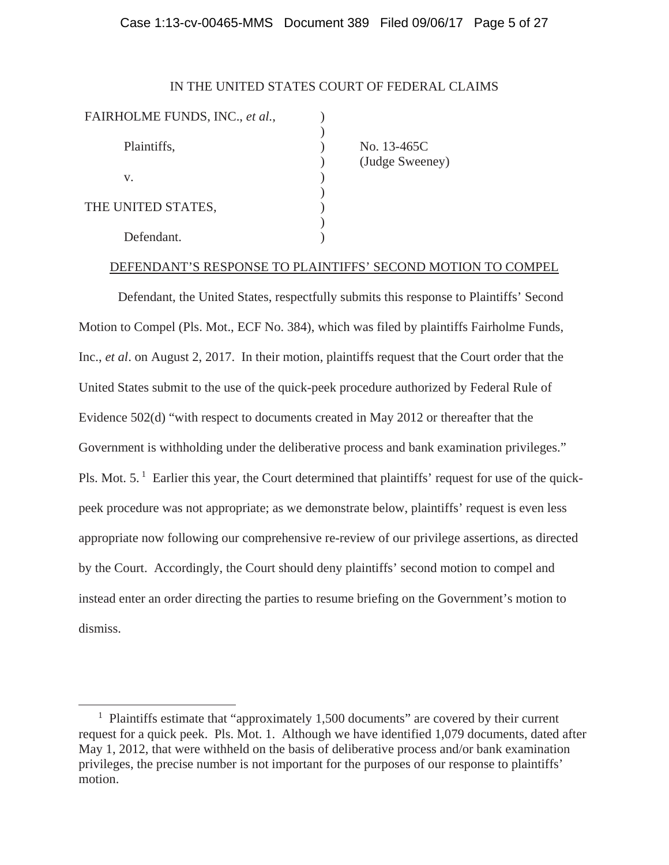#### Case 1:13-cv-00465-MMS Document 389 Filed 09/06/17 Page 5 of 27

#### IN THE UNITED STATES COURT OF FEDERAL CLAIMS

| FAIRHOLME FUNDS, INC., et al., |     |
|--------------------------------|-----|
|                                |     |
| Plaintiffs,                    | No. |
|                                |     |
| V.                             |     |
|                                |     |
| THE UNITED STATES,             |     |
|                                |     |
| Defendant.                     |     |
|                                |     |

 $\overline{a}$ 

13-465C dge Sweeney)

#### DEFENDANT'S RESPONSE TO PLAINTIFFS' SECOND MOTION TO COMPEL

Defendant, the United States, respectfully submits this response to Plaintiffs' Second Motion to Compel (Pls. Mot., ECF No. 384), which was filed by plaintiffs Fairholme Funds, Inc., *et al*. on August 2, 2017. In their motion, plaintiffs request that the Court order that the United States submit to the use of the quick-peek procedure authorized by Federal Rule of Evidence 502(d) "with respect to documents created in May 2012 or thereafter that the Government is withholding under the deliberative process and bank examination privileges." Pls. Mot. 5.<sup>1</sup> Earlier this year, the Court determined that plaintiffs' request for use of the quickpeek procedure was not appropriate; as we demonstrate below, plaintiffs' request is even less appropriate now following our comprehensive re-review of our privilege assertions, as directed by the Court. Accordingly, the Court should deny plaintiffs' second motion to compel and instead enter an order directing the parties to resume briefing on the Government's motion to dismiss.

<sup>&</sup>lt;sup>1</sup> Plaintiffs estimate that "approximately 1,500 documents" are covered by their current request for a quick peek. Pls. Mot. 1. Although we have identified 1,079 documents, dated after May 1, 2012, that were withheld on the basis of deliberative process and/or bank examination privileges, the precise number is not important for the purposes of our response to plaintiffs' motion.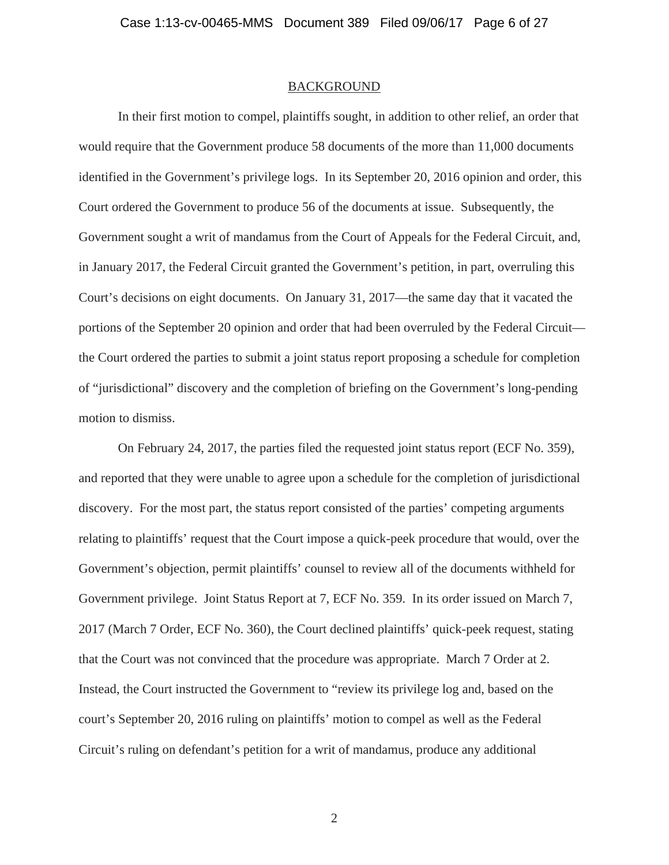#### BACKGROUND

In their first motion to compel, plaintiffs sought, in addition to other relief, an order that would require that the Government produce 58 documents of the more than 11,000 documents identified in the Government's privilege logs. In its September 20, 2016 opinion and order, this Court ordered the Government to produce 56 of the documents at issue. Subsequently, the Government sought a writ of mandamus from the Court of Appeals for the Federal Circuit, and, in January 2017, the Federal Circuit granted the Government's petition, in part, overruling this Court's decisions on eight documents. On January 31, 2017—the same day that it vacated the portions of the September 20 opinion and order that had been overruled by the Federal Circuit the Court ordered the parties to submit a joint status report proposing a schedule for completion of "jurisdictional" discovery and the completion of briefing on the Government's long-pending motion to dismiss.

On February 24, 2017, the parties filed the requested joint status report (ECF No. 359), and reported that they were unable to agree upon a schedule for the completion of jurisdictional discovery. For the most part, the status report consisted of the parties' competing arguments relating to plaintiffs' request that the Court impose a quick-peek procedure that would, over the Government's objection, permit plaintiffs' counsel to review all of the documents withheld for Government privilege. Joint Status Report at 7, ECF No. 359. In its order issued on March 7, 2017 (March 7 Order, ECF No. 360), the Court declined plaintiffs' quick-peek request, stating that the Court was not convinced that the procedure was appropriate. March 7 Order at 2. Instead, the Court instructed the Government to "review its privilege log and, based on the court's September 20, 2016 ruling on plaintiffs' motion to compel as well as the Federal Circuit's ruling on defendant's petition for a writ of mandamus, produce any additional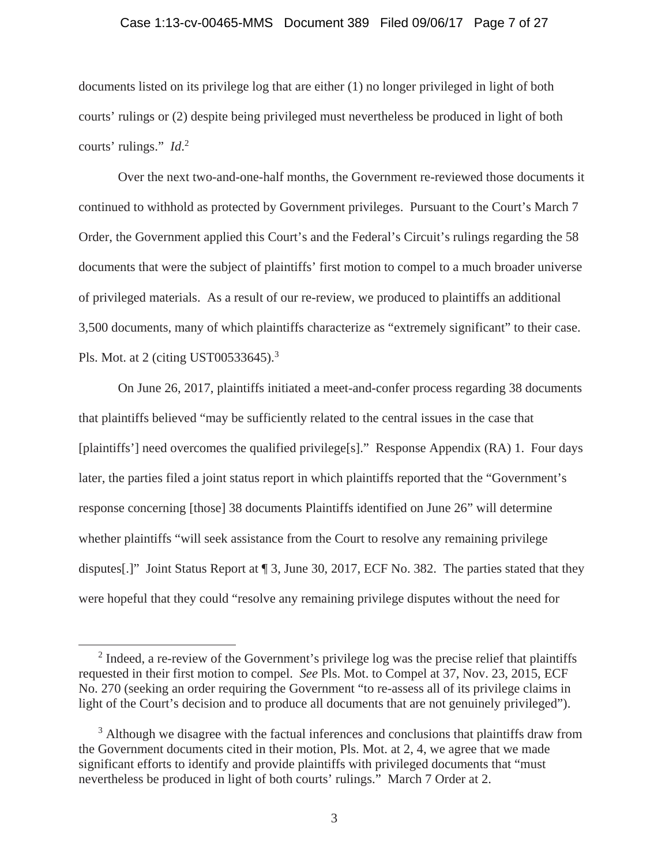#### Case 1:13-cv-00465-MMS Document 389 Filed 09/06/17 Page 7 of 27

documents listed on its privilege log that are either (1) no longer privileged in light of both courts' rulings or (2) despite being privileged must nevertheless be produced in light of both courts' rulings." *Id*. 2

Over the next two-and-one-half months, the Government re-reviewed those documents it continued to withhold as protected by Government privileges. Pursuant to the Court's March 7 Order, the Government applied this Court's and the Federal's Circuit's rulings regarding the 58 documents that were the subject of plaintiffs' first motion to compel to a much broader universe of privileged materials. As a result of our re-review, we produced to plaintiffs an additional 3,500 documents, many of which plaintiffs characterize as "extremely significant" to their case. Pls. Mot. at 2 (citing UST00533645).<sup>3</sup>

On June 26, 2017, plaintiffs initiated a meet-and-confer process regarding 38 documents that plaintiffs believed "may be sufficiently related to the central issues in the case that [plaintiffs'] need overcomes the qualified privilege[s]." Response Appendix (RA) 1. Four days later, the parties filed a joint status report in which plaintiffs reported that the "Government's response concerning [those] 38 documents Plaintiffs identified on June 26" will determine whether plaintiffs "will seek assistance from the Court to resolve any remaining privilege disputes[.]" Joint Status Report at ¶ 3, June 30, 2017, ECF No. 382. The parties stated that they were hopeful that they could "resolve any remaining privilege disputes without the need for

 $\overline{a}$ 

 $2$  Indeed, a re-review of the Government's privilege log was the precise relief that plaintiffs requested in their first motion to compel. *See* Pls. Mot. to Compel at 37, Nov. 23, 2015, ECF No. 270 (seeking an order requiring the Government "to re-assess all of its privilege claims in light of the Court's decision and to produce all documents that are not genuinely privileged").

<sup>&</sup>lt;sup>3</sup> Although we disagree with the factual inferences and conclusions that plaintiffs draw from the Government documents cited in their motion, Pls. Mot. at 2, 4, we agree that we made significant efforts to identify and provide plaintiffs with privileged documents that "must nevertheless be produced in light of both courts' rulings." March 7 Order at 2.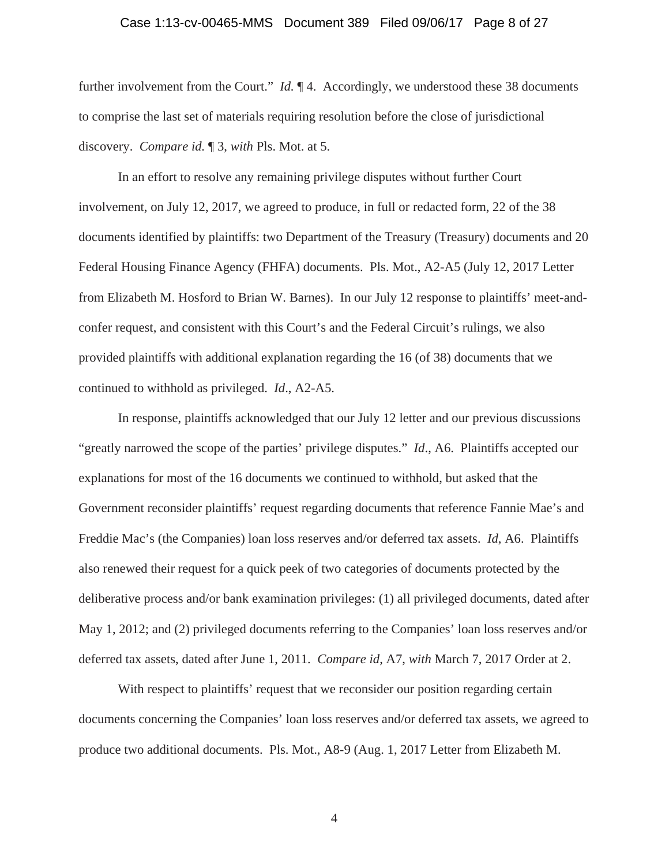#### Case 1:13-cv-00465-MMS Document 389 Filed 09/06/17 Page 8 of 27

further involvement from the Court." *Id.*  $\llbracket 4$ . Accordingly, we understood these 38 documents to comprise the last set of materials requiring resolution before the close of jurisdictional discovery. *Compare id.* ¶ 3, *with* Pls. Mot. at 5.

In an effort to resolve any remaining privilege disputes without further Court involvement, on July 12, 2017, we agreed to produce, in full or redacted form, 22 of the 38 documents identified by plaintiffs: two Department of the Treasury (Treasury) documents and 20 Federal Housing Finance Agency (FHFA) documents. Pls. Mot., A2-A5 (July 12, 2017 Letter from Elizabeth M. Hosford to Brian W. Barnes). In our July 12 response to plaintiffs' meet-andconfer request, and consistent with this Court's and the Federal Circuit's rulings, we also provided plaintiffs with additional explanation regarding the 16 (of 38) documents that we continued to withhold as privileged. *Id*., A2-A5.

In response, plaintiffs acknowledged that our July 12 letter and our previous discussions "greatly narrowed the scope of the parties' privilege disputes." *Id*., A6. Plaintiffs accepted our explanations for most of the 16 documents we continued to withhold, but asked that the Government reconsider plaintiffs' request regarding documents that reference Fannie Mae's and Freddie Mac's (the Companies) loan loss reserves and/or deferred tax assets. *Id*, A6. Plaintiffs also renewed their request for a quick peek of two categories of documents protected by the deliberative process and/or bank examination privileges: (1) all privileged documents, dated after May 1, 2012; and (2) privileged documents referring to the Companies' loan loss reserves and/or deferred tax assets, dated after June 1, 2011. *Compare id*, A7, *with* March 7, 2017 Order at 2.

With respect to plaintiffs' request that we reconsider our position regarding certain documents concerning the Companies' loan loss reserves and/or deferred tax assets, we agreed to produce two additional documents. Pls. Mot., A8-9 (Aug. 1, 2017 Letter from Elizabeth M.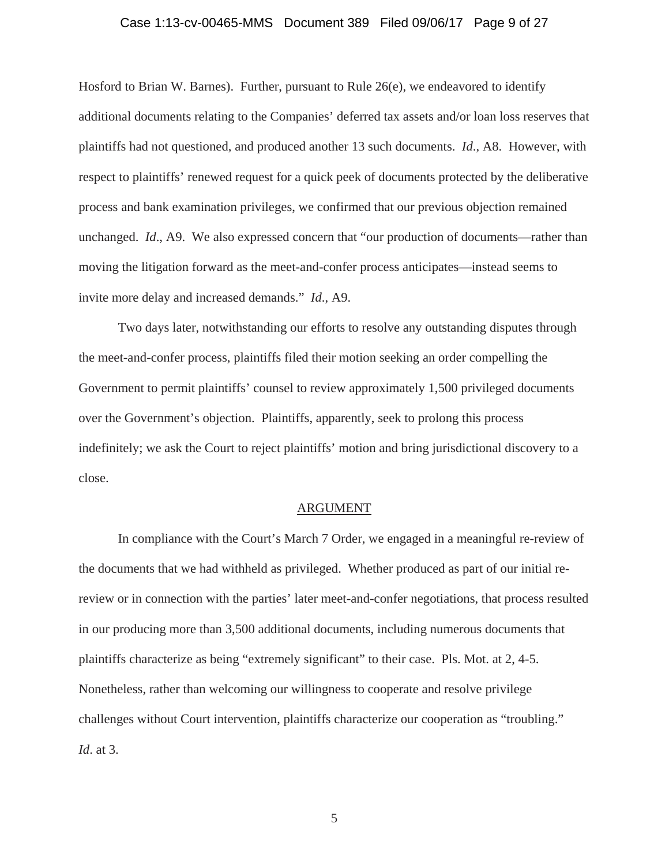#### Case 1:13-cv-00465-MMS Document 389 Filed 09/06/17 Page 9 of 27

Hosford to Brian W. Barnes). Further, pursuant to Rule 26(e), we endeavored to identify additional documents relating to the Companies' deferred tax assets and/or loan loss reserves that plaintiffs had not questioned, and produced another 13 such documents. *Id*., A8. However, with respect to plaintiffs' renewed request for a quick peek of documents protected by the deliberative process and bank examination privileges, we confirmed that our previous objection remained unchanged. *Id*., A9. We also expressed concern that "our production of documents—rather than moving the litigation forward as the meet-and-confer process anticipates—instead seems to invite more delay and increased demands." *Id*., A9.

Two days later, notwithstanding our efforts to resolve any outstanding disputes through the meet-and-confer process, plaintiffs filed their motion seeking an order compelling the Government to permit plaintiffs' counsel to review approximately 1,500 privileged documents over the Government's objection. Plaintiffs, apparently, seek to prolong this process indefinitely; we ask the Court to reject plaintiffs' motion and bring jurisdictional discovery to a close.

#### ARGUMENT

In compliance with the Court's March 7 Order, we engaged in a meaningful re-review of the documents that we had withheld as privileged. Whether produced as part of our initial rereview or in connection with the parties' later meet-and-confer negotiations, that process resulted in our producing more than 3,500 additional documents, including numerous documents that plaintiffs characterize as being "extremely significant" to their case. Pls. Mot. at 2, 4-5. Nonetheless, rather than welcoming our willingness to cooperate and resolve privilege challenges without Court intervention, plaintiffs characterize our cooperation as "troubling." *Id*. at 3.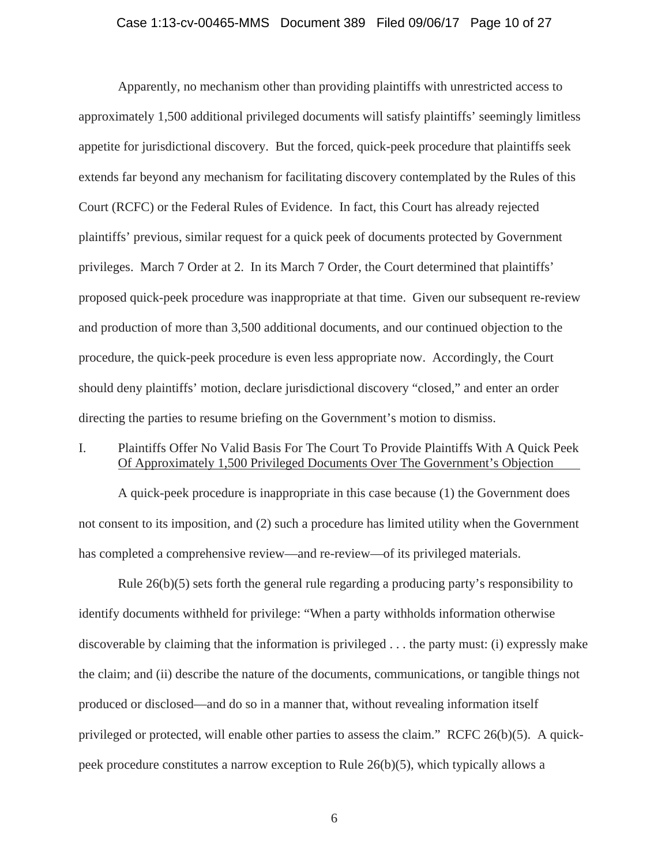#### Case 1:13-cv-00465-MMS Document 389 Filed 09/06/17 Page 10 of 27

Apparently, no mechanism other than providing plaintiffs with unrestricted access to approximately 1,500 additional privileged documents will satisfy plaintiffs' seemingly limitless appetite for jurisdictional discovery. But the forced, quick-peek procedure that plaintiffs seek extends far beyond any mechanism for facilitating discovery contemplated by the Rules of this Court (RCFC) or the Federal Rules of Evidence. In fact, this Court has already rejected plaintiffs' previous, similar request for a quick peek of documents protected by Government privileges. March 7 Order at 2. In its March 7 Order, the Court determined that plaintiffs' proposed quick-peek procedure was inappropriate at that time. Given our subsequent re-review and production of more than 3,500 additional documents, and our continued objection to the procedure, the quick-peek procedure is even less appropriate now. Accordingly, the Court should deny plaintiffs' motion, declare jurisdictional discovery "closed," and enter an order directing the parties to resume briefing on the Government's motion to dismiss.

## I. Plaintiffs Offer No Valid Basis For The Court To Provide Plaintiffs With A Quick Peek Of Approximately 1,500 Privileged Documents Over The Government's Objection

A quick-peek procedure is inappropriate in this case because (1) the Government does not consent to its imposition, and (2) such a procedure has limited utility when the Government has completed a comprehensive review—and re-review—of its privileged materials.

Rule 26(b)(5) sets forth the general rule regarding a producing party's responsibility to identify documents withheld for privilege: "When a party withholds information otherwise discoverable by claiming that the information is privileged . . . the party must: (i) expressly make the claim; and (ii) describe the nature of the documents, communications, or tangible things not produced or disclosed—and do so in a manner that, without revealing information itself privileged or protected, will enable other parties to assess the claim." RCFC 26(b)(5). A quickpeek procedure constitutes a narrow exception to Rule 26(b)(5), which typically allows a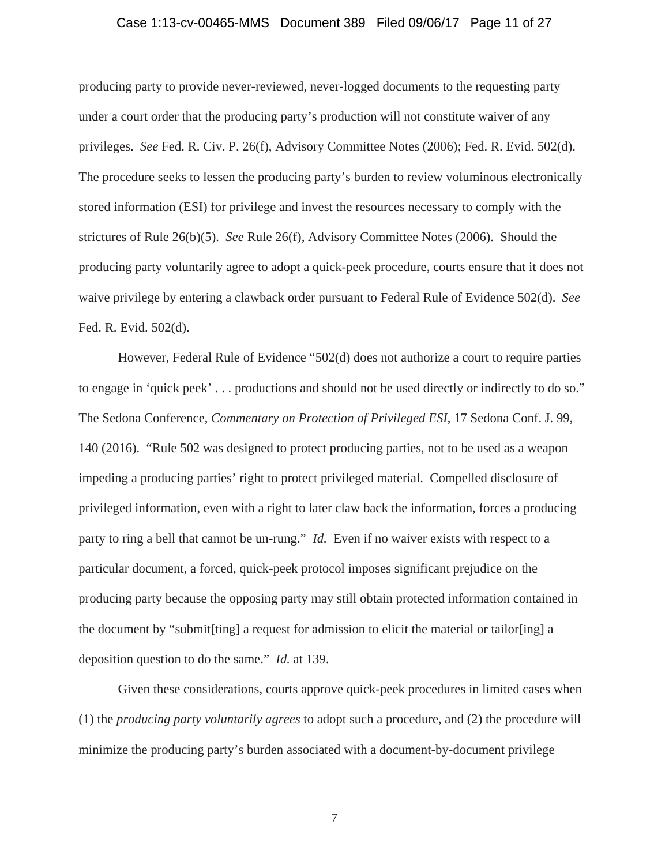#### Case 1:13-cv-00465-MMS Document 389 Filed 09/06/17 Page 11 of 27

producing party to provide never-reviewed, never-logged documents to the requesting party under a court order that the producing party's production will not constitute waiver of any privileges. *See* Fed. R. Civ. P. 26(f), Advisory Committee Notes (2006); Fed. R. Evid. 502(d). The procedure seeks to lessen the producing party's burden to review voluminous electronically stored information (ESI) for privilege and invest the resources necessary to comply with the strictures of Rule 26(b)(5). *See* Rule 26(f), Advisory Committee Notes (2006). Should the producing party voluntarily agree to adopt a quick-peek procedure, courts ensure that it does not waive privilege by entering a clawback order pursuant to Federal Rule of Evidence 502(d). *See* Fed. R. Evid. 502(d).

However, Federal Rule of Evidence "502(d) does not authorize a court to require parties to engage in 'quick peek' . . . productions and should not be used directly or indirectly to do so." The Sedona Conference, *Commentary on Protection of Privileged ESI*, 17 Sedona Conf. J. 99, 140 (2016). "Rule 502 was designed to protect producing parties, not to be used as a weapon impeding a producing parties' right to protect privileged material. Compelled disclosure of privileged information, even with a right to later claw back the information, forces a producing party to ring a bell that cannot be un-rung." *Id.* Even if no waiver exists with respect to a particular document, a forced, quick-peek protocol imposes significant prejudice on the producing party because the opposing party may still obtain protected information contained in the document by "submit[ting] a request for admission to elicit the material or tailor[ing] a deposition question to do the same." *Id.* at 139.

Given these considerations, courts approve quick-peek procedures in limited cases when (1) the *producing party voluntarily agrees* to adopt such a procedure, and (2) the procedure will minimize the producing party's burden associated with a document-by-document privilege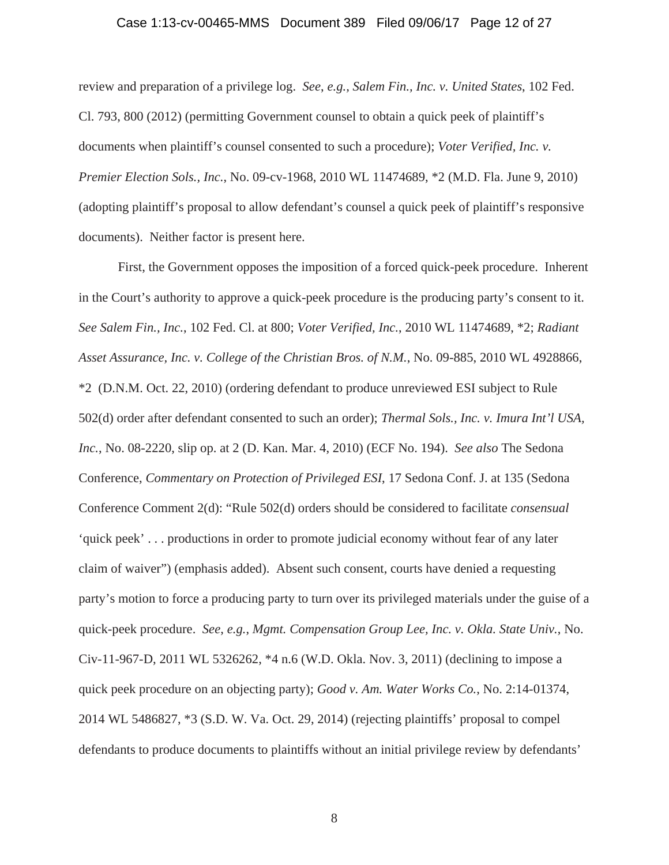#### Case 1:13-cv-00465-MMS Document 389 Filed 09/06/17 Page 12 of 27

review and preparation of a privilege log. *See*, *e.g., Salem Fin., Inc. v. United States*, 102 Fed. Cl. 793, 800 (2012) (permitting Government counsel to obtain a quick peek of plaintiff's documents when plaintiff's counsel consented to such a procedure); *Voter Verified, Inc. v. Premier Election Sols., Inc.*, No. 09-cv-1968, 2010 WL 11474689, \*2 (M.D. Fla. June 9, 2010) (adopting plaintiff's proposal to allow defendant's counsel a quick peek of plaintiff's responsive documents). Neither factor is present here.

First, the Government opposes the imposition of a forced quick-peek procedure. Inherent in the Court's authority to approve a quick-peek procedure is the producing party's consent to it. *See Salem Fin., Inc.*, 102 Fed. Cl. at 800; *Voter Verified, Inc.*, 2010 WL 11474689, \*2; *Radiant Asset Assurance, Inc. v. College of the Christian Bros. of N.M.*, No. 09-885, 2010 WL 4928866, \*2 (D.N.M. Oct. 22, 2010) (ordering defendant to produce unreviewed ESI subject to Rule 502(d) order after defendant consented to such an order); *Thermal Sols., Inc. v. Imura Int'l USA, Inc.*, No. 08-2220, slip op. at 2 (D. Kan. Mar. 4, 2010) (ECF No. 194). *See also* The Sedona Conference, *Commentary on Protection of Privileged ESI*, 17 Sedona Conf. J. at 135 (Sedona Conference Comment 2(d): "Rule 502(d) orders should be considered to facilitate *consensual* 'quick peek' . . . productions in order to promote judicial economy without fear of any later claim of waiver") (emphasis added). Absent such consent, courts have denied a requesting party's motion to force a producing party to turn over its privileged materials under the guise of a quick-peek procedure. *See*, *e.g.*, *Mgmt. Compensation Group Lee, Inc. v. Okla. State Univ.*, No. Civ-11-967-D, 2011 WL 5326262, \*4 n.6 (W.D. Okla. Nov. 3, 2011) (declining to impose a quick peek procedure on an objecting party); *Good v. Am. Water Works Co.*, No. 2:14-01374, 2014 WL 5486827, \*3 (S.D. W. Va. Oct. 29, 2014) (rejecting plaintiffs' proposal to compel defendants to produce documents to plaintiffs without an initial privilege review by defendants'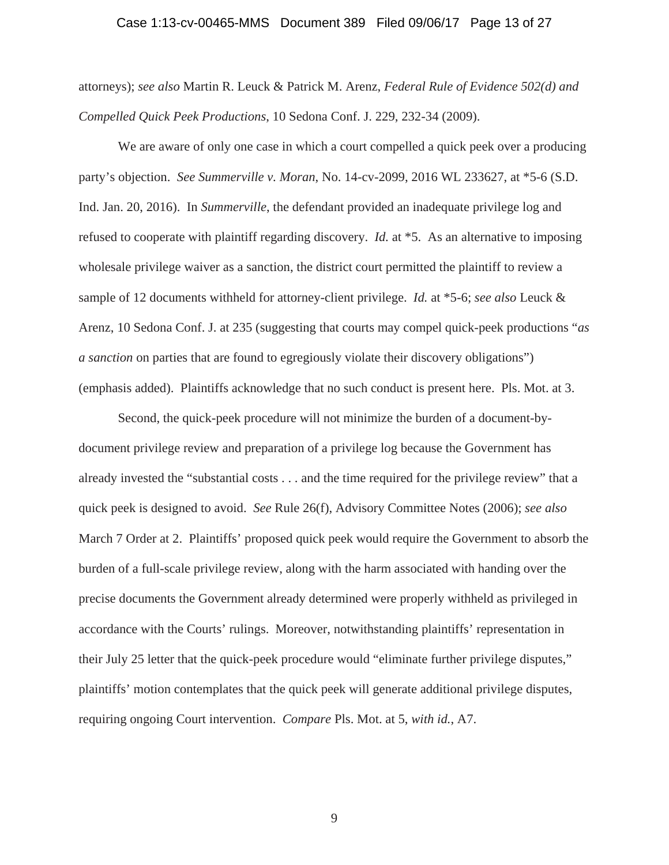#### Case 1:13-cv-00465-MMS Document 389 Filed 09/06/17 Page 13 of 27

attorneys); *see also* Martin R. Leuck & Patrick M. Arenz, *Federal Rule of Evidence 502(d) and Compelled Quick Peek Productions*, 10 Sedona Conf. J. 229, 232-34 (2009).

We are aware of only one case in which a court compelled a quick peek over a producing party's objection. *See Summerville v. Moran*, No. 14-cv-2099, 2016 WL 233627, at \*5-6 (S.D. Ind. Jan. 20, 2016). In *Summerville*, the defendant provided an inadequate privilege log and refused to cooperate with plaintiff regarding discovery. *Id.* at \*5. As an alternative to imposing wholesale privilege waiver as a sanction, the district court permitted the plaintiff to review a sample of 12 documents withheld for attorney-client privilege. *Id.* at \*5-6; *see also* Leuck & Arenz, 10 Sedona Conf. J. at 235 (suggesting that courts may compel quick-peek productions "*as a sanction* on parties that are found to egregiously violate their discovery obligations") (emphasis added). Plaintiffs acknowledge that no such conduct is present here. Pls. Mot. at 3.

Second, the quick-peek procedure will not minimize the burden of a document-bydocument privilege review and preparation of a privilege log because the Government has already invested the "substantial costs . . . and the time required for the privilege review" that a quick peek is designed to avoid. *See* Rule 26(f), Advisory Committee Notes (2006); *see also* March 7 Order at 2. Plaintiffs' proposed quick peek would require the Government to absorb the burden of a full-scale privilege review, along with the harm associated with handing over the precise documents the Government already determined were properly withheld as privileged in accordance with the Courts' rulings. Moreover, notwithstanding plaintiffs' representation in their July 25 letter that the quick-peek procedure would "eliminate further privilege disputes," plaintiffs' motion contemplates that the quick peek will generate additional privilege disputes, requiring ongoing Court intervention. *Compare* Pls. Mot. at 5, *with id.*, A7.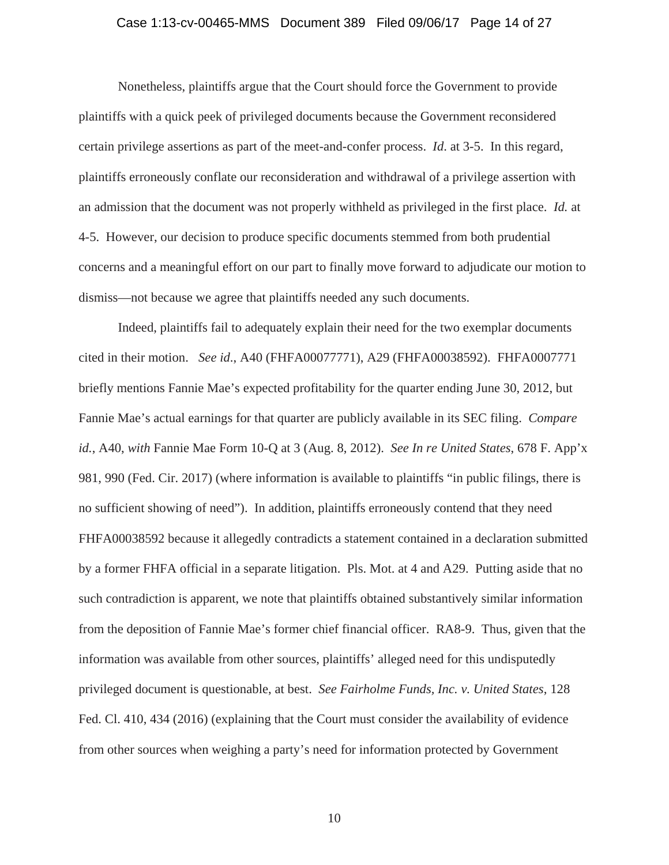#### Case 1:13-cv-00465-MMS Document 389 Filed 09/06/17 Page 14 of 27

Nonetheless, plaintiffs argue that the Court should force the Government to provide plaintiffs with a quick peek of privileged documents because the Government reconsidered certain privilege assertions as part of the meet-and-confer process. *Id*. at 3-5. In this regard, plaintiffs erroneously conflate our reconsideration and withdrawal of a privilege assertion with an admission that the document was not properly withheld as privileged in the first place. *Id.* at 4-5. However, our decision to produce specific documents stemmed from both prudential concerns and a meaningful effort on our part to finally move forward to adjudicate our motion to dismiss—not because we agree that plaintiffs needed any such documents.

Indeed, plaintiffs fail to adequately explain their need for the two exemplar documents cited in their motion. *See id*., A40 (FHFA00077771), A29 (FHFA00038592). FHFA0007771 briefly mentions Fannie Mae's expected profitability for the quarter ending June 30, 2012, but Fannie Mae's actual earnings for that quarter are publicly available in its SEC filing. *Compare id.*, A40, *with* Fannie Mae Form 10-Q at 3 (Aug. 8, 2012). *See In re United States*, 678 F. App'x 981, 990 (Fed. Cir. 2017) (where information is available to plaintiffs "in public filings, there is no sufficient showing of need"). In addition, plaintiffs erroneously contend that they need FHFA00038592 because it allegedly contradicts a statement contained in a declaration submitted by a former FHFA official in a separate litigation. Pls. Mot. at 4 and A29. Putting aside that no such contradiction is apparent, we note that plaintiffs obtained substantively similar information from the deposition of Fannie Mae's former chief financial officer. RA8-9. Thus, given that the information was available from other sources, plaintiffs' alleged need for this undisputedly privileged document is questionable, at best. *See Fairholme Funds, Inc. v. United States*, 128 Fed. Cl. 410, 434 (2016) (explaining that the Court must consider the availability of evidence from other sources when weighing a party's need for information protected by Government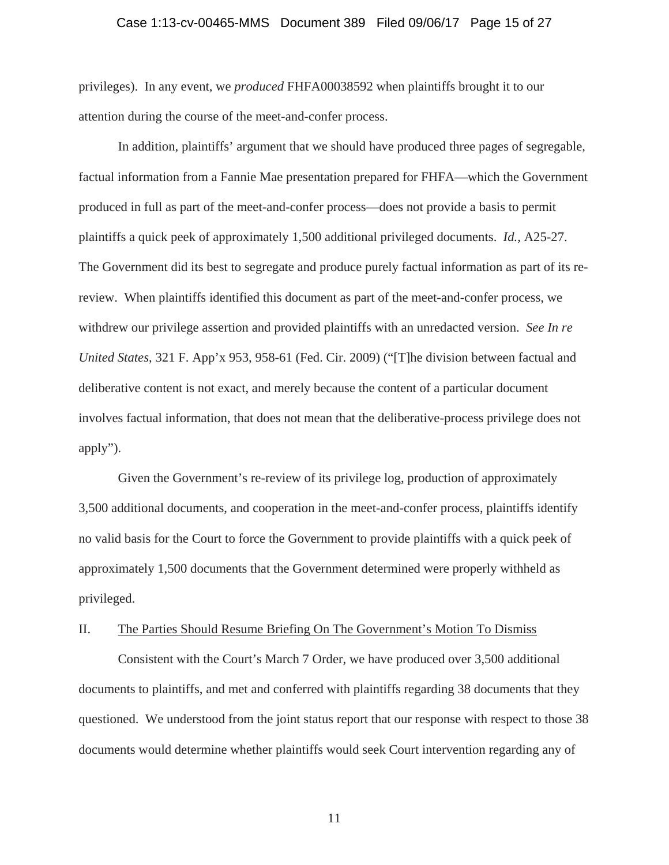#### Case 1:13-cv-00465-MMS Document 389 Filed 09/06/17 Page 15 of 27

privileges). In any event, we *produced* FHFA00038592 when plaintiffs brought it to our attention during the course of the meet-and-confer process.

In addition, plaintiffs' argument that we should have produced three pages of segregable, factual information from a Fannie Mae presentation prepared for FHFA—which the Government produced in full as part of the meet-and-confer process—does not provide a basis to permit plaintiffs a quick peek of approximately 1,500 additional privileged documents. *Id.*, A25-27. The Government did its best to segregate and produce purely factual information as part of its rereview. When plaintiffs identified this document as part of the meet-and-confer process, we withdrew our privilege assertion and provided plaintiffs with an unredacted version. *See In re United States*, 321 F. App'x 953, 958-61 (Fed. Cir. 2009) ("[T]he division between factual and deliberative content is not exact, and merely because the content of a particular document involves factual information, that does not mean that the deliberative-process privilege does not apply").

Given the Government's re-review of its privilege log, production of approximately 3,500 additional documents, and cooperation in the meet-and-confer process, plaintiffs identify no valid basis for the Court to force the Government to provide plaintiffs with a quick peek of approximately 1,500 documents that the Government determined were properly withheld as privileged.

#### II. The Parties Should Resume Briefing On The Government's Motion To Dismiss

Consistent with the Court's March 7 Order, we have produced over 3,500 additional documents to plaintiffs, and met and conferred with plaintiffs regarding 38 documents that they questioned. We understood from the joint status report that our response with respect to those 38 documents would determine whether plaintiffs would seek Court intervention regarding any of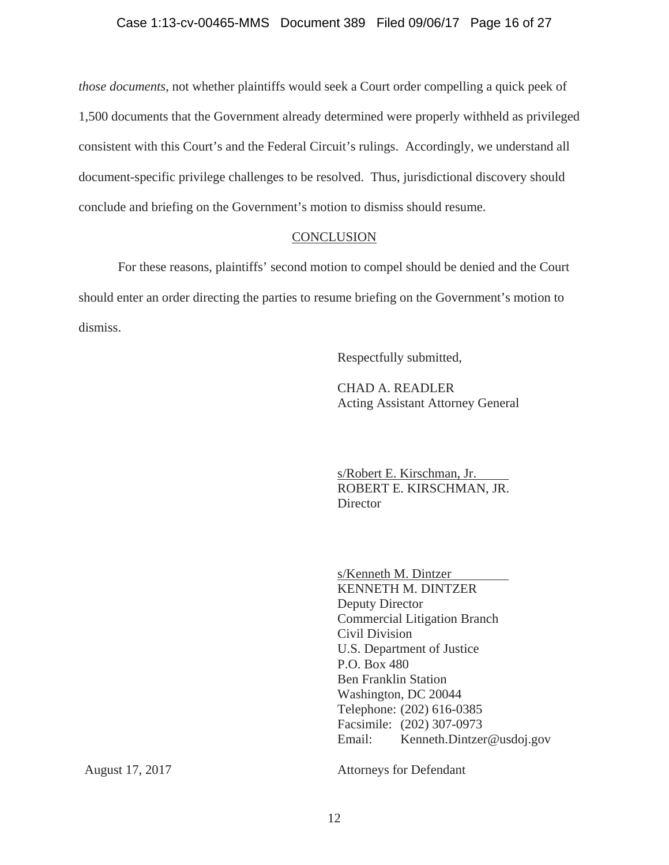*those documents*, not whether plaintiffs would seek a Court order compelling a quick peek of 1,500 documents that the Government already determined were properly withheld as privileged consistent with this Court's and the Federal Circuit's rulings. Accordingly, we understand all document-specific privilege challenges to be resolved. Thus, jurisdictional discovery should conclude and briefing on the Government's motion to dismiss should resume.

#### **CONCLUSION**

For these reasons, plaintiffs' second motion to compel should be denied and the Court should enter an order directing the parties to resume briefing on the Government's motion to dismiss.

Respectfully submitted,

CHAD A. READLER Acting Assistant Attorney General

s/Robert E. Kirschman, Jr. ROBERT E. KIRSCHMAN, JR. **Director** 

s/Kenneth M. Dintzer KENNETH M. DINTZER Deputy Director Commercial Litigation Branch Civil Division U.S. Department of Justice P.O. Box 480 Ben Franklin Station Washington, DC 20044 Telephone: (202) 616-0385 Facsimile: (202) 307-0973 Email: Kenneth.Dintzer@usdoj.gov

Attorneys for Defendant

August 17, 2017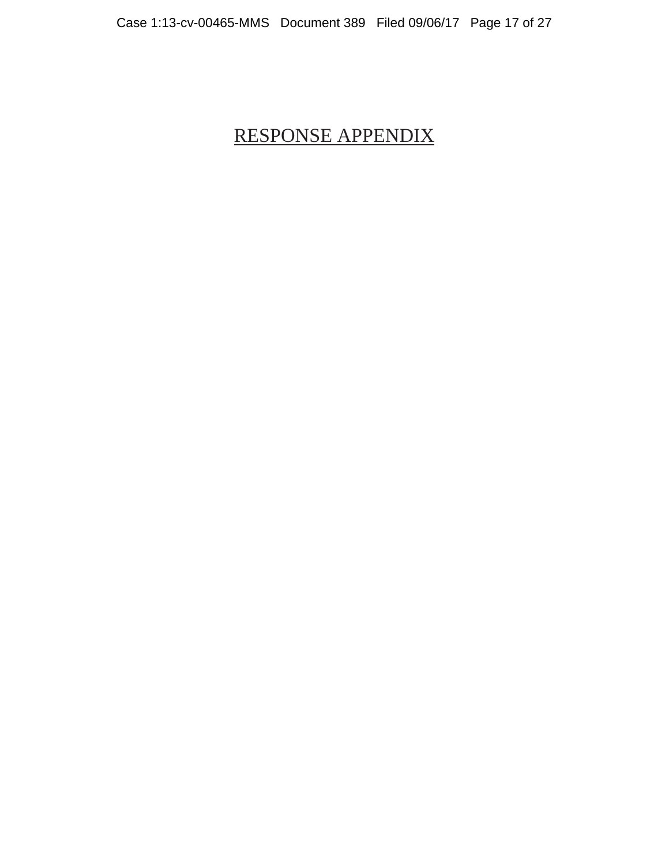# RESPONSE APPENDIX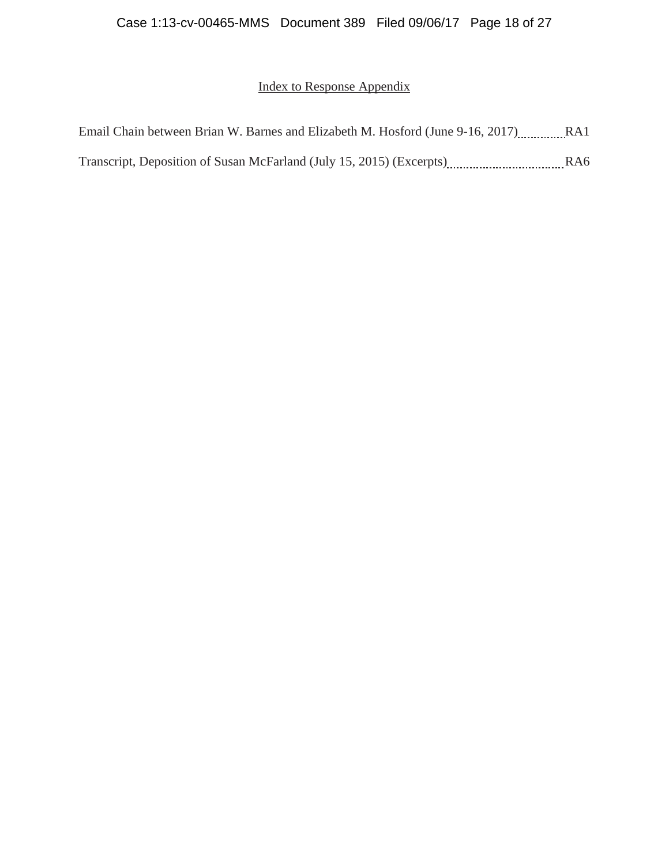# Index to Response Appendix

| Email Chain between Brian W. Barnes and Elizabeth M. Hosford (June 9-16, 2017) RA1 |                 |
|------------------------------------------------------------------------------------|-----------------|
| Transcript, Deposition of Susan McFarland (July 15, 2015) (Excerpts)               | RA <sub>6</sub> |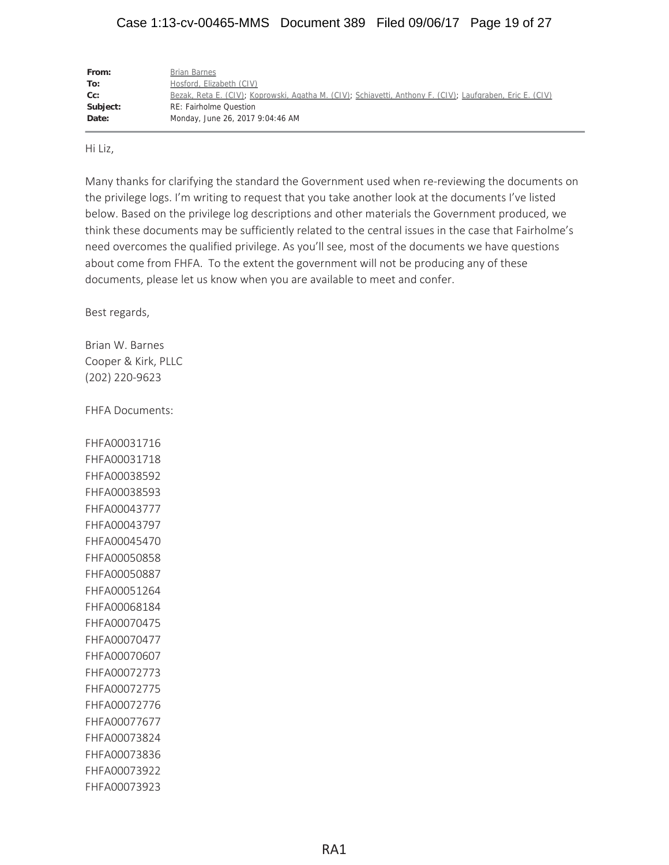# Case 1:13-cv-00465-MMS Document 389 Filed 09/06/17 Page 19 of 27

| From:    | Brian Barnes                                                                                              |
|----------|-----------------------------------------------------------------------------------------------------------|
| To:      | Hosford, Elizabeth (CIV)                                                                                  |
| $Cc$ :   | Bezak, Reta E. (CIV); Koprowski, Agatha M. (CIV); Schiavetti, Anthony F. (CIV); Laufgraben, Eric E. (CIV) |
| Subject: | <b>RE: Fairholme Question</b>                                                                             |
| Date:    | Monday, June 26, 2017 9:04:46 AM                                                                          |

Hi Liz,

Many thanks for clarifying the standard the Government used when re-reviewing the documents on the privilege logs. I'm writing to request that you take another look at the documents I've listed below. Based on the privilege log descriptions and other materials the Government produced, we think these documents may be sufficiently related to the central issues in the case that Fairholme's need overcomes the qualified privilege. As you'll see, most of the documents we have questions about come from FHFA. To the extent the government will not be producing any of these documents, please let us know when you are available to meet and confer.

Best regards,

Brian W. Barnes Cooper & Kirk, PLLC (202) 220-9623

FHFA Documents:

FHFA00031716 FHFA00031718 FHFA00038592 FHFA00038593 FHFA00043777 FHFA00043797 FHFA00045470 FHFA00050858 FHFA00050887 FHFA00051264 FHFA00068184 FHFA00070475 FHFA00070477 FHFA00070607 FHFA00072773 FHFA00072775 FHFA00072776 FHFA00077677 FHFA00073824 FHFA00073836 FHFA00073922 FHFA00073923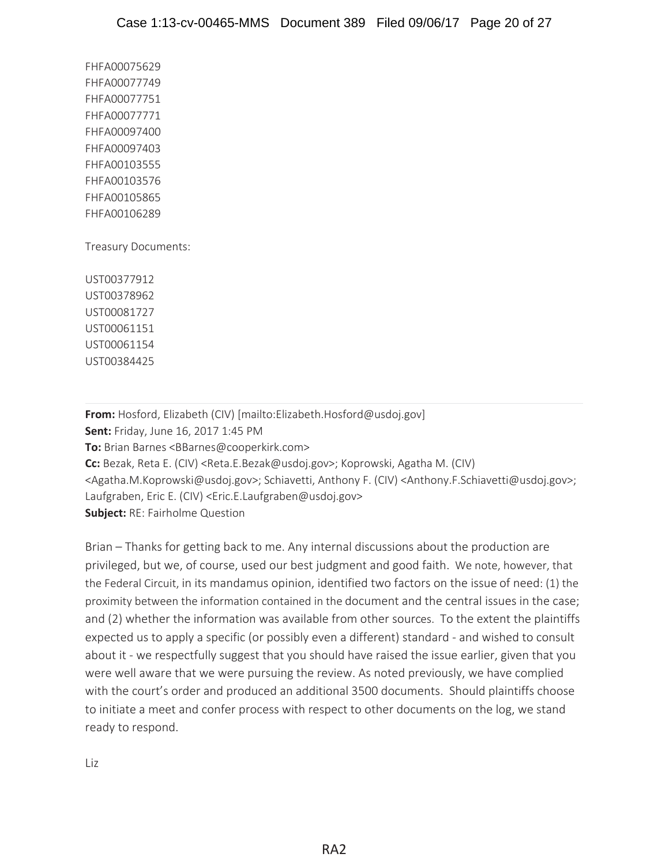FHFA00075629 FHFA00077749 FHFA00077751 FHFA00077771 FHFA00097400 FHFA00097403 FHFA00103555 FHFA00103576 FHFA00105865 FHFA00106289

Treasury Documents:

UST00377912 UST00378962 UST00081727 UST00061151 UST00061154 UST00384425

**From:** Hosford, Elizabeth (CIV) [mailto:Elizabeth.Hosford@usdoj.gov] **Sent:** Friday, June 16, 2017 1:45 PM **To:** Brian Barnes <BBarnes@cooperkirk.com> **Cc:** Bezak, Reta E. (CIV) <Reta.E.Bezak@usdoj.gov>; Koprowski, Agatha M. (CIV) <Agatha.M.Koprowski@usdoj.gov>; Schiavetti, Anthony F. (CIV) <Anthony.F.Schiavetti@usdoj.gov>; Laufgraben, Eric E. (CIV) <Eric.E.Laufgraben@usdoj.gov> **Subject:** RE: Fairholme Question

Brian – Thanks for getting back to me. Any internal discussions about the production are privileged, but we, of course, used our best judgment and good faith. We note, however, that the Federal Circuit, in its mandamus opinion, identified two factors on the issue of need: (1) the proximity between the information contained in the document and the central issues in the case; and (2) whether the information was available from other sources. To the extent the plaintiffs expected us to apply a specific (or possibly even a different) standard - and wished to consult about it - we respectfully suggest that you should have raised the issue earlier, given that you were well aware that we were pursuing the review. As noted previously, we have complied with the court's order and produced an additional 3500 documents. Should plaintiffs choose to initiate a meet and confer process with respect to other documents on the log, we stand ready to respond.

Liz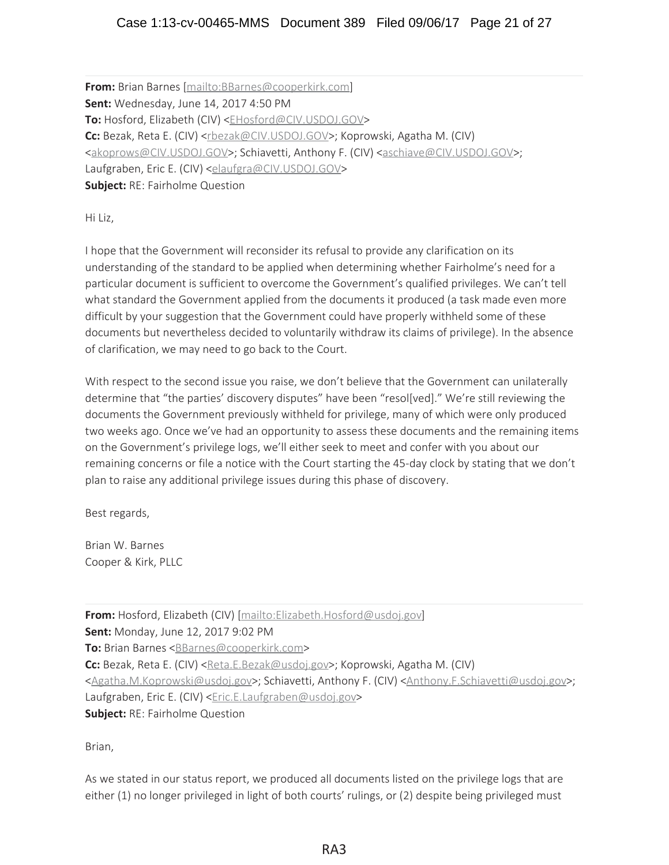**From:** Brian Barnes [mailto:BBarnes@cooperkirk.com] **Sent:** Wednesday, June 14, 2017 4:50 PM **To:** Hosford, Elizabeth (CIV) <*EHosford@CIV.USDOJ.GOV>* **Cc:** Bezak, Reta E. (CIV) <rbezak@CIV.USDOJ.GOV>; Koprowski, Agatha M. (CIV) <akoprows@CIV.USDOJ.GOV>; Schiavetti, Anthony F. (CIV) <aschiave@CIV.USDOJ.GOV>; Laufgraben, Eric E. (CIV) <elaufgra@CIV.USDOJ.GOV> **Subject:** RE: Fairholme Question

Hi Liz,

I hope that the Government will reconsider its refusal to provide any clarification on its understanding of the standard to be applied when determining whether Fairholme's need for a particular document is sufficient to overcome the Government's qualified privileges. We can't tell what standard the Government applied from the documents it produced (a task made even more difficult by your suggestion that the Government could have properly withheld some of these documents but nevertheless decided to voluntarily withdraw its claims of privilege). In the absence of clarification, we may need to go back to the Court.

With respect to the second issue you raise, we don't believe that the Government can unilaterally determine that "the parties' discovery disputes" have been "resol[ved]." We're still reviewing the documents the Government previously withheld for privilege, many of which were only produced two weeks ago. Once we've had an opportunity to assess these documents and the remaining items on the Government's privilege logs, we'll either seek to meet and confer with you about our remaining concerns or file a notice with the Court starting the 45-day clock by stating that we don't plan to raise any additional privilege issues during this phase of discovery.

Best regards,

Brian W. Barnes Cooper & Kirk, PLLC

**From:** Hosford, Elizabeth (CIV) [mailto:Elizabeth.Hosford@usdoj.gov] **Sent:** Monday, June 12, 2017 9:02 PM **To:** Brian Barnes <BBarnes@cooperkirk.com> Cc: Bezak, Reta E. (CIV) <Reta.E.Bezak@usdoj.gov>; Koprowski, Agatha M. (CIV) <Agatha.M.Koprowski@usdoj.gov>; Schiavetti, Anthony F. (CIV) <Anthony.F.Schiavetti@usdoj.gov>; Laufgraben, Eric E. (CIV) <*Eric.E.Laufgraben@usdoj.gov>* **Subject:** RE: Fairholme Question

Brian,

As we stated in our status report, we produced all documents listed on the privilege logs that are either (1) no longer privileged in light of both courts' rulings, or (2) despite being privileged must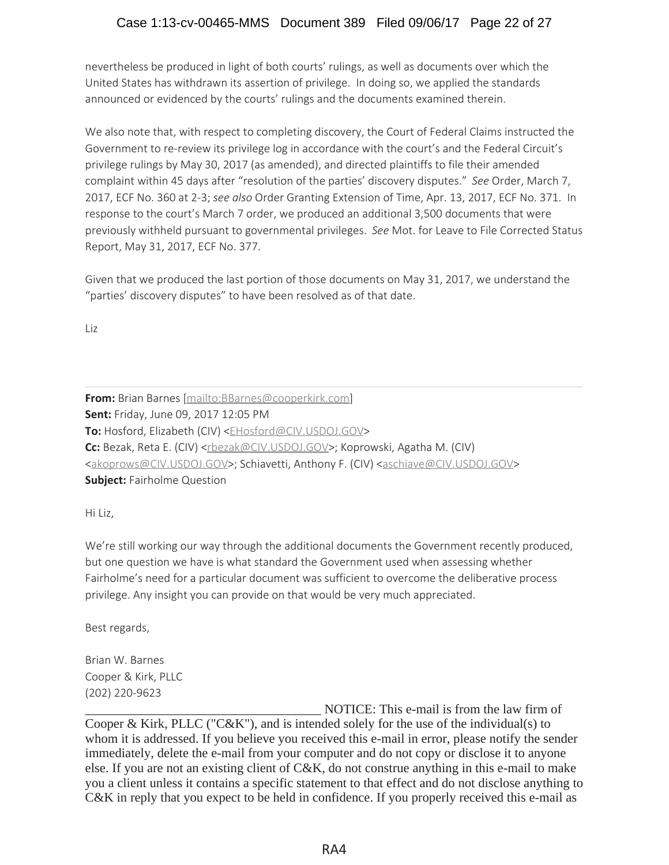nevertheless be produced in light of both courts' rulings, as well as documents over which the United States has withdrawn its assertion of privilege. In doing so, we applied the standards announced or evidenced by the courts' rulings and the documents examined therein.

We also note that, with respect to completing discovery, the Court of Federal Claims instructed the Government to re-review its privilege log in accordance with the court's and the Federal Circuit's privilege rulings by May 30, 2017 (as amended), and directed plaintiffs to file their amended complaint within 45 days after "resolution of the parties' discovery disputes." *See* Order, March 7, 2017, ECF No. 360 at 2-3; see also Order Granting Extension of Time, Apr. 13, 2017, ECF No. 371. In response to the court's March 7 order, we produced an additional 3,500 documents that were previously withheld pursuant to governmental privileges. *See* Mot. for Leave to File Corrected Status Report, May 31, 2017, ECF No. 377.

Given that we produced the last portion of those documents on May 31, 2017, we understand the "parties' discovery disputes" to have been resolved as of that date.

Liz

**From:** Brian Barnes [mailto:BBarnes@cooperkirk.com] **Sent:** Friday, June 09, 2017 12:05 PM **To:** Hosford, Elizabeth (CIV) <*EHosford@CIV.USDOJ.GOV>* **Cc:** Bezak, Reta E. (CIV) <rbezak@CIV.USDOJ.GOV>; Koprowski, Agatha M. (CIV) <akoprows@CIV.USDOJ.GOV>; Schiavetti, Anthony F. (CIV) <aschiave@CIV.USDOJ.GOV> **Subject:** Fairholme Question

Hi Liz,

We're still working our way through the additional documents the Government recently produced, but one question we have is what standard the Government used when assessing whether Fairholme's need for a particular document was sufficient to overcome the deliberative process privilege. Any insight you can provide on that would be very much appreciated.

Best regards,

Brian W. Barnes Cooper & Kirk, PLLC (202) 220-9623

NOTICE: This e-mail is from the law firm of Cooper & Kirk, PLLC (" $C\&K$ "), and is intended solely for the use of the individual(s) to whom it is addressed. If you believe you received this e-mail in error, please notify the sender immediately, delete the e-mail from your computer and do not copy or disclose it to anyone else. If you are not an existing client of C&K, do not construe anything in this e-mail to make you a client unless it contains a specific statement to that effect and do not disclose anything to C&K in reply that you expect to be held in confidence. If you properly received this e-mail as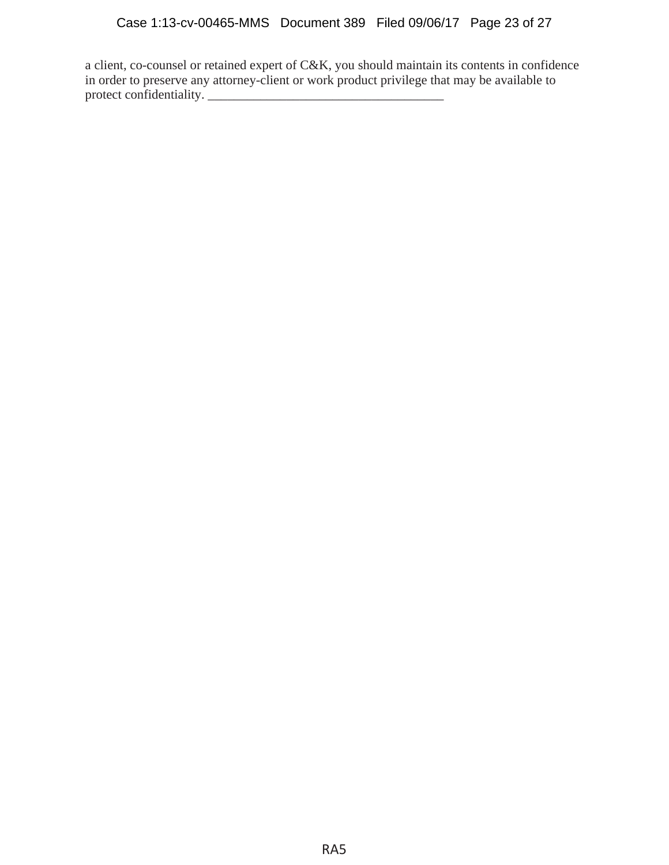a client, co-counsel or retained expert of C&K, you should maintain its contents in confidence in order to preserve any attorney-client or work product privilege that may be available to protect confidentiality.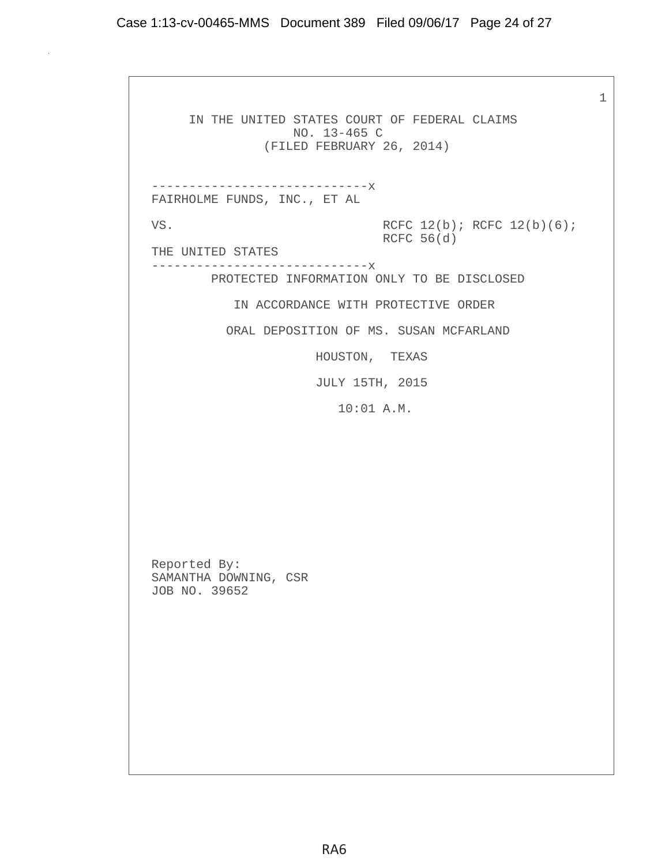1

 IN THE UNITED STATES COURT OF FEDERAL CLAIMS NO. 13-465 C (FILED FEBRUARY 26, 2014) -----------------------------x FAIRHOLME FUNDS, INC., ET AL VS. RCFC  $12(b)$ ; RCFC  $12(b)(6)$ ; RCFC 56(d) THE UNITED STATES -----------------------------x PROTECTED INFORMATION ONLY TO BE DISCLOSED IN ACCORDANCE WITH PROTECTIVE ORDER ORAL DEPOSITION OF MS. SUSAN MCFARLAND HOUSTON, TEXAS JULY 15TH, 2015 10:01 A.M. Reported By: SAMANTHA DOWNING, CSR JOB NO. 39652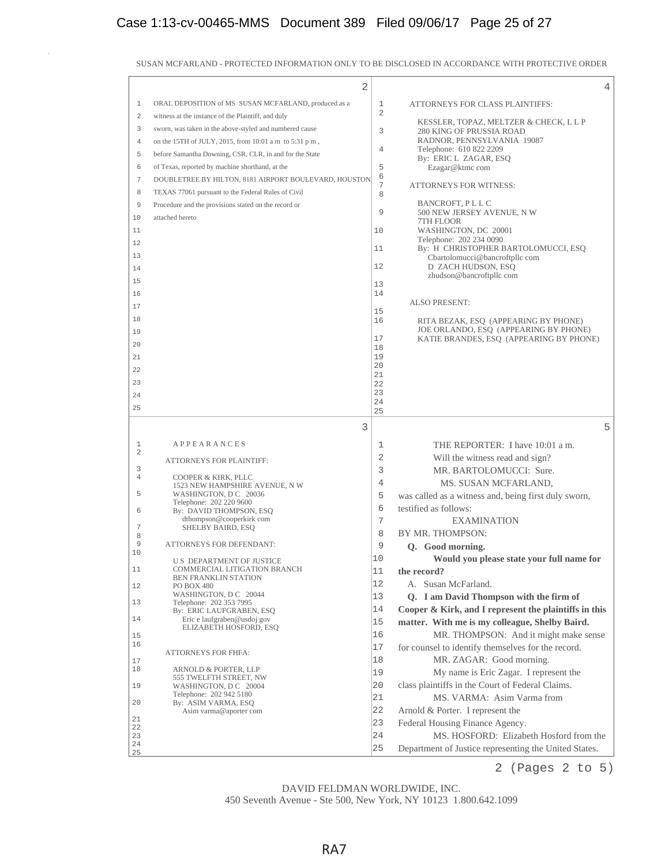|                  | $\overline{2}$                                          |                |                                                                               | 4 |
|------------------|---------------------------------------------------------|----------------|-------------------------------------------------------------------------------|---|
| 1                | ORAL DEPOSITION of MS SUSAN MCFARLAND, produced as a    | 1              | ATTORNEYS FOR CLASS PLAINTIFFS:                                               |   |
| 2                | witness at the instance of the Plaintiff, and duly      | $\overline{2}$ |                                                                               |   |
| 3                | sworn, was taken in the above-styled and numbered cause | 3              | KESSLER, TOPAZ, MELTZER & CHECK, L L P<br>280 KING OF PRUSSIA ROAD            |   |
| 4                | on the 15TH of JULY, 2015, from 10:01 a m to 5:31 p m,  |                | RADNOR, PENNSYLVANIA 19087                                                    |   |
| 5                | before Samantha Downing, CSR, CLR, in and for the State | 4              | Telephone: 610 822 2209<br>By: ERIC L ZAGAR, ESQ                              |   |
| 6                | of Texas, reported by machine shorthand, at the         | 5              | Ezagar@ktmc com                                                               |   |
| $\boldsymbol{7}$ | DOUBLETREE BY HILTON, 8181 AIRPORT BOULEVARD, HOUSTON,  | 6              |                                                                               |   |
| 8                | TEXAS 77061 pursuant to the Federal Rules of Civil      | 7<br>8         | <b>ATTORNEYS FOR WITNESS:</b>                                                 |   |
| 9                | Procedure and the provisions stated on the record or    |                | BANCROFT, PLLC                                                                |   |
| 10               | attached hereto                                         | 9              | 500 NEW JERSEY AVENUE, N W                                                    |   |
| 11               |                                                         | 10             | 7TH FLOOR<br>WASHINGTON, DC 20001                                             |   |
| 12               |                                                         |                | Telephone: 202 234 0090                                                       |   |
| 13               |                                                         | 11             | By: H CHRISTOPHER BARTOLOMUCCI, ESQ                                           |   |
| 14               |                                                         | 12             | Cbartolomucci@bancroftpllccom<br>D ZACH HUDSON, ESQ                           |   |
| 15               |                                                         |                | zhudson@bancroftpllccom                                                       |   |
| 16               |                                                         | 13<br>14       |                                                                               |   |
| 17               |                                                         |                | <b>ALSO PRESENT:</b>                                                          |   |
| 18               |                                                         | 15             |                                                                               |   |
| 19               |                                                         | 16             | RITA BEZAK, ESQ (APPEARING BY PHONE)<br>JOE ORLANDO, ESQ (APPEARING BY PHONE) |   |
|                  |                                                         | 17             | KATIE BRANDES, ESQ (APPEARING BY PHONE)                                       |   |
| 20<br>21         |                                                         | 18<br>19       |                                                                               |   |
|                  |                                                         | 20             |                                                                               |   |
| 22               |                                                         | 21             |                                                                               |   |
| 23               |                                                         | 22<br>23       |                                                                               |   |
| 24<br>25         |                                                         | 24             |                                                                               |   |
|                  |                                                         | 25             |                                                                               |   |
|                  |                                                         |                |                                                                               |   |
|                  | 3                                                       |                |                                                                               | 5 |
| 1                | <b>APPEARANCES</b>                                      | 1              | THE REPORTER: I have 10:01 a m.                                               |   |
| 2                | ATTORNEYS FOR PLAINTIFF:                                | 2              | Will the witness read and sign?                                               |   |
| 3                |                                                         | 3              | MR. BARTOLOMUCCI: Sure.                                                       |   |
| 4                | COOPER & KIRK, PLLC<br>1523 NEW HAMPSHIRE AVENUE, N W   | 4              | MS. SUSAN MCFARLAND,                                                          |   |
| 5                | WASHINGTON, D C 20036                                   | 5              | was called as a witness and, being first duly sworn,                          |   |
| 6                | Telephone: 202 220 9600<br>By: DAVID THOMPSON, ESO      | 6              | testified as follows:                                                         |   |
|                  | dthompson@cooperkirk.com                                | 7              | <b>EXAMINATION</b>                                                            |   |
| 7<br>8           | SHELBY BAIRD, ESQ                                       | 8              | BY MR. THOMPSON:                                                              |   |
| 9                | <b>ATTORNEYS FOR DEFENDANT:</b>                         | 9              | Q. Good morning.                                                              |   |
| 10               | <b>US DEPARTMENT OF JUSTICE</b>                         | 10             | Would you please state your full name for                                     |   |
| 11               | COMMERCIAL LITIGATION BRANCH                            | 11             | the record?                                                                   |   |
| 12               | <b>BEN FRANKLIN STATION</b><br>PO BOX 480               | 12             | A. Susan McFarland.                                                           |   |
|                  | WASHINGTON, D C 20044                                   | 13             | Q. I am David Thompson with the firm of                                       |   |
| 13               | Telephone: 202 353 7995<br>By: ERIC LAUFGRABEN, ESQ     | 14             | Cooper & Kirk, and I represent the plaintiffs in this                         |   |
| 14               | Eric e laufgraben@usdoj gov                             | 15             | matter. With me is my colleague, Shelby Baird.                                |   |
| 15               | ELIZABETH HOSFORD, ESQ                                  | 16             | MR. THOMPSON: And it might make sense                                         |   |
| 16               |                                                         | 17             | for counsel to identify themselves for the record.                            |   |
| 17               | ATTORNEYS FOR FHFA:                                     | 18             | MR. ZAGAR: Good morning.                                                      |   |
| 18               | ARNOLD & PORTER, LLP                                    | 19             | My name is Eric Zagar. I represent the                                        |   |
| 19               | 555 TWELFTH STREET, NW<br>WASHINGTON, D C 20004         | 20             | class plaintiffs in the Court of Federal Claims.                              |   |
|                  | Telephone: 202 942 5180                                 | 21             | MS. VARMA: Asim Varma from                                                    |   |
| 20               | By: ASIM VARMA, ESQ<br>Asim varma@aporter com           | 22             | Arnold & Porter. I represent the                                              |   |
| 21               |                                                         | 23             | Federal Housing Finance Agency.                                               |   |
| 22<br>23<br>24   |                                                         | 24             | MS. HOSFORD: Elizabeth Hosford from the                                       |   |

SUSAN MCFARLAND - PROTECTED INFORMATION ONLY TO BE DISCLOSED IN ACCORDANCE WITH PROTECTIVE ORDER

2 (Pages 2 to 5)

450 Seventh Avenue - Ste 500, New York, NY 10123 1.800.642.1099 DAVID FELDMAN WORLDWIDE, INC.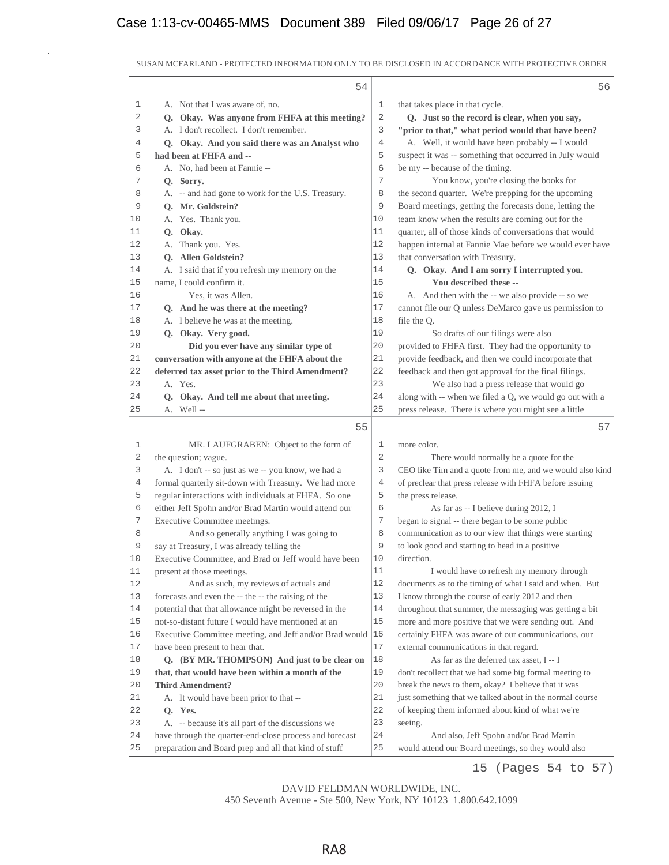## Case 1:13-cv-00465-MMS Document 389 Filed 09/06/17 Page 26 of 27

|              | 54                                                      |                | 56                                                       |
|--------------|---------------------------------------------------------|----------------|----------------------------------------------------------|
| 1            | A. Not that I was aware of, no.                         | 1              | that takes place in that cycle.                          |
| $\mathbf{2}$ | Q. Okay. Was anyone from FHFA at this meeting?          | $\sqrt{2}$     | Q. Just so the record is clear, when you say,            |
| 3            | A. I don't recollect. I don't remember.                 | 3              | "prior to that," what period would that have been?       |
| 4            | Q. Okay. And you said there was an Analyst who          | $\overline{4}$ | A. Well, it would have been probably -- I would          |
| 5            | had been at FHFA and --                                 | 5              | suspect it was -- something that occurred in July would  |
| 6            | A. No, had been at Fannie --                            | 6              | be my -- because of the timing.                          |
| 7            | Q. Sorry.                                               | 7              | You know, you're closing the books for                   |
| 8            | A. -- and had gone to work for the U.S. Treasury.       | 8              | the second quarter. We're prepping for the upcoming      |
| 9            | O. Mr. Goldstein?                                       | 9              | Board meetings, getting the forecasts done, letting the  |
| 10           | A. Yes. Thank you.                                      | 10             | team know when the results are coming out for the        |
| 11           | Q. Okay.                                                | 11             | quarter, all of those kinds of conversations that would  |
| 12           | A. Thank you. Yes.                                      | 12             | happen internal at Fannie Mae before we would ever have  |
| 13           | O. Allen Goldstein?                                     | 13             | that conversation with Treasury.                         |
| 14           | A. I said that if you refresh my memory on the          | 14             | Q. Okay. And I am sorry I interrupted you.               |
| 15           | name, I could confirm it.                               | 15             | You described these --                                   |
| 16           | Yes, it was Allen.                                      | 16             | A. And then with the -- we also provide -- so we         |
| 17           | Q. And he was there at the meeting?                     | 17             | cannot file our Q unless DeMarco gave us permission to   |
| 18           | A. I believe he was at the meeting.                     | 18             | file the Q.                                              |
| 19           | Q. Okay. Very good.                                     | 19             | So drafts of our filings were also                       |
| 20           | Did you ever have any similar type of                   | 20             | provided to FHFA first. They had the opportunity to      |
| 21           | conversation with anyone at the FHFA about the          | 21             | provide feedback, and then we could incorporate that     |
| 22           | deferred tax asset prior to the Third Amendment?        | 22             | feedback and then got approval for the final filings.    |
| 23           | A. Yes.                                                 | 23             | We also had a press release that would go                |
| 24           | Q. Okay. And tell me about that meeting.                | 24             | along with -- when we filed a Q, we would go out with a  |
| 25           | A. Well-                                                | 25             | press release. There is where you might see a little     |
|              | 55                                                      |                | 57                                                       |
| $\mathbf 1$  | MR. LAUFGRABEN: Object to the form of                   | 1              | more color.                                              |
| 2            | the question; vague.                                    | 2              | There would normally be a quote for the                  |
| 3            | A. I don't -- so just as we -- you know, we had a       | 3              | CEO like Tim and a quote from me, and we would also kind |
| 4            | formal quarterly sit-down with Treasury. We had more    | 4              | of preclear that press release with FHFA before issuing  |
| 5            | regular interactions with individuals at FHFA. So one   | 5              | the press release.                                       |
| 6            | either Jeff Spohn and/or Brad Martin would attend our   | 6              | As far as -- I believe during 2012, I                    |
| 7            | Executive Committee meetings.                           | 7              | began to signal -- there began to be some public         |
| 8            | And so generally anything I was going to                | 8              | communication as to our view that things were starting   |
| 9            | say at Treasury, I was already telling the              | 9              | to look good and starting to head in a positive          |
| 10           | Executive Committee, and Brad or Jeff would have been   | 10             | direction.                                               |
| 11           | present at those meetings.                              | 11             | I would have to refresh my memory through                |
| 12           | And as such, my reviews of actuals and                  | 12             | documents as to the timing of what I said and when. But  |
| 13           | forecasts and even the -- the -- the raising of the     | 13             | I know through the course of early 2012 and then         |
| 14           | potential that that allowance might be reversed in the  | 14             | throughout that summer, the messaging was getting a bit  |
| 15           | not-so-distant future I would have mentioned at an      | 15             | more and more positive that we were sending out. And     |
| 16           | Executive Committee meeting, and Jeff and/or Brad would | 16             | certainly FHFA was aware of our communications, our      |
| 17           | have been present to hear that.                         | 17             | external communications in that regard.                  |
| 18           | Q. (BY MR. THOMPSON) And just to be clear on            | 18             | As far as the deferred tax asset, I -- I                 |
| 19           | that, that would have been within a month of the        | 19             | don't recollect that we had some big formal meeting to   |
| 20           | <b>Third Amendment?</b>                                 | 20             | break the news to them, okay? I believe that it was      |
| 21           | A. It would have been prior to that --                  | 21             | just something that we talked about in the normal course |
| 22           | Q. Yes.                                                 | 22             | of keeping them informed about kind of what we're        |
| 23           | A. -- because it's all part of the discussions we       | 23             | seeing.                                                  |
| 24           | have through the quarter-end-close process and forecast | 24             | And also, Jeff Spohn and/or Brad Martin                  |
| 25           | preparation and Board prep and all that kind of stuff   | 25             | would attend our Board meetings, so they would also      |

SUSAN MCFARLAND - PROTECTED INFORMATION ONLY TO BE DISCLOSED IN ACCORDANCE WITH PROTECTIVE ORDER

15 (Pages 54 to 57)

450 Seventh Avenue - Ste 500, New York, NY 10123 1.800.642.1099 DAVID FELDMAN WORLDWIDE, INC.